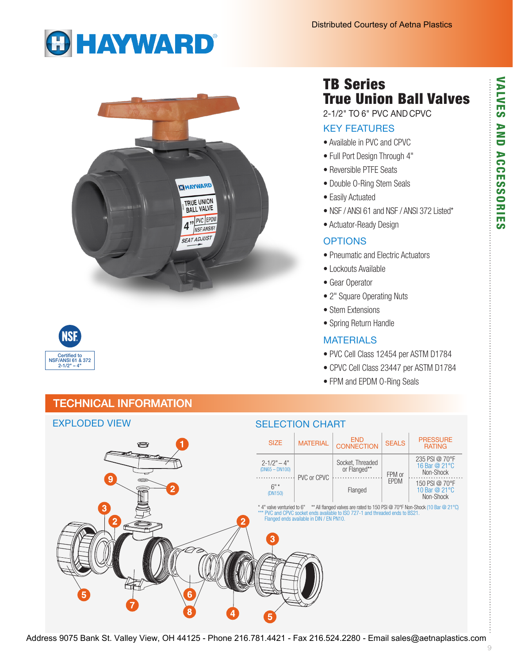# **GHAYWARD®**



# **NSF** Certified to NSF/ANSI 61 & 372  $2 - 1/2" - 4"$

# TB Series True Union Ball Valves

2-1/2" TO 6" PVC AND CPVC

### KEY FEATURES

- Available in PVC and CPVC
- Full Port Design Through 4"
- Reversible PTFE Seats
- Double O-Ring Stem Seals
- Easily Actuated
- NSF / ANSI 61 and NSF / ANSI 372 Listed\*
- Actuator-Ready Design

#### **OPTIONS**

- Pneumatic and Electric Actuators
- Lockouts Available
- Gear Operator
- 2" Square Operating Nuts
- Stem Extensions
- Spring Return Handle

#### **MATERIALS**

- PVC Cell Class 12454 per ASTM D1784
- CPVC Cell Class 23447 per ASTM D1784
- FPM and EPDM O-Ring Seals

# TECHNICAL INFORMATION

#### EXPLODED VIEW SELECTION CHART SIZE MATERIAL END END **END** SEALS PRESSURE **RATING** 235 PSI @ 70°F  $2 - 1/2" - 4"$ Socket, Threaded 16 Bar @ 21°C (DN65 – DN100) or Flanged\*\* FPM or Non-Shock . . . . . . . . . . . . . PVC or CPVC EPDM 150 PSI @ 70°F  $6"$  $\begin{array}{c|c}\n\hline\n\text{6}^{\degree}\n\end{array}$  Flanged 10 Bar @ 21°C Non-Shock \* 4" valve venturied to 6" \*\* All flanged valves are rated to 150 PSI @ 70°F Non-Shock (10 Bar @ 21°C) \*\*\* PVC and CPVC socket ends available to ISO 727-1 and threaded ends to BS21. Flanged ends available in DIN / EN PN10.

Address 9075 Bank St. Valley View, OH 44125 - Phone 216.781.4421 - Fax 216.524.2280 - Email sales@aetnaplastics.com